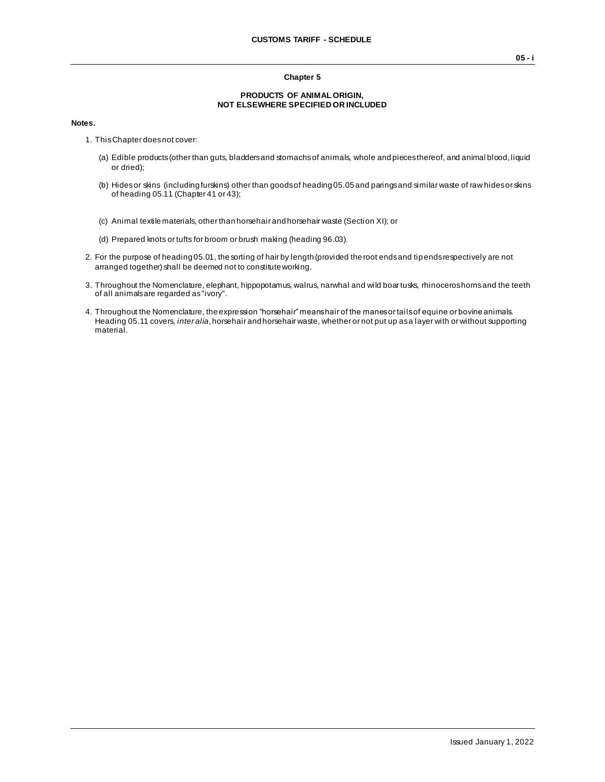## **Chapter 5**

## **PRODUCTS OF ANIMAL ORIGIN, NOT ELSEWHERE SPECIFIED OR INCLUDED**

## **Notes.**

- 1. This Chapter does not cover:
	- (a) Edible products (other than guts, bladders and stomachs of animals, whole and pieces thereof, and animal blood, liquid or dried);
	- (b) Hides or skins (including furskins) other than goods of heading 05.05 and parings and similar waste of raw hides or skins of heading 05.11 (Chapter 41 or 43);
	- (c) Animal textile materials, other than horsehair and horsehair waste (Section XI); or
	- (d) Prepared knots or tufts for broom or brush making (heading 96.03).
- 2. For the purpose of heading 05.01, the sorting of hair by length (provided the root ends and tip ends respectively are not arranged together) shall be deemed not to constitute working.
- 3. Throughout the Nomenclature, elephant, hippopotamus, walrus, narwhal and wild boar tusks, rhinoceros horns and the teeth of all animals are regarded as "ivory".
- 4. Throughout the Nomenclature, the expression "horsehair" means hair of the manes or tails of equine or bovine animals. Heading 05.11 covers, *inter alia*, horsehair and horsehair waste, whether or not put up as a layer with or without supporting material.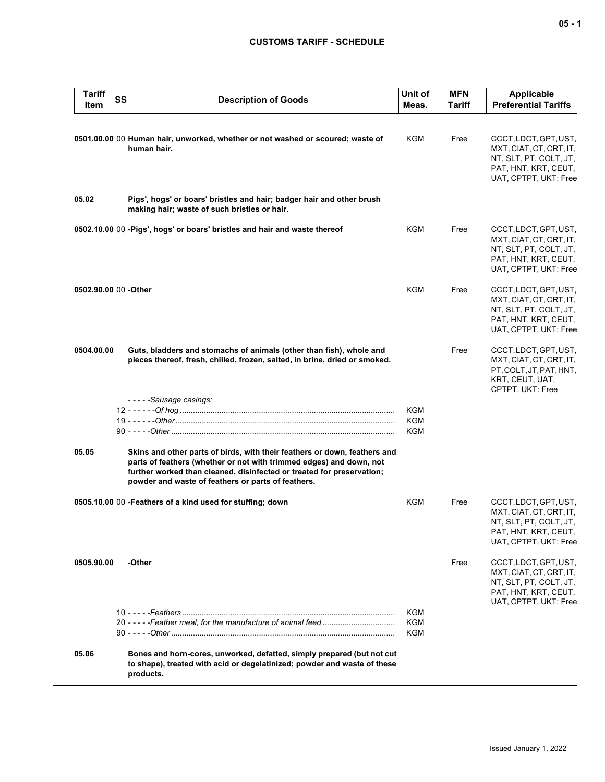## **CUSTOMS TARIFF - SCHEDULE**

| <b>Tariff</b><br>Item | SS | <b>Description of Goods</b>                                                                                                                                                                                                                                                     | Unit of<br>Meas.                | <b>MFN</b><br>Tariff | <b>Applicable</b><br><b>Preferential Tariffs</b>                                                                            |
|-----------------------|----|---------------------------------------------------------------------------------------------------------------------------------------------------------------------------------------------------------------------------------------------------------------------------------|---------------------------------|----------------------|-----------------------------------------------------------------------------------------------------------------------------|
|                       |    | 0501.00.00 00 Human hair, unworked, whether or not washed or scoured; waste of<br>human hair.                                                                                                                                                                                   | KGM                             | Free                 | CCCT, LDCT, GPT, UST,<br>MXT, CIAT, CT, CRT, IT,<br>NT, SLT, PT, COLT, JT,<br>PAT, HNT, KRT, CEUT,<br>UAT, CPTPT, UKT: Free |
| 05.02                 |    | Pigs', hogs' or boars' bristles and hair; badger hair and other brush<br>making hair; waste of such bristles or hair.                                                                                                                                                           |                                 |                      |                                                                                                                             |
|                       |    | 0502.10.00 00 - Pigs', hogs' or boars' bristles and hair and waste thereof                                                                                                                                                                                                      | <b>KGM</b>                      | Free                 | CCCT, LDCT, GPT, UST,<br>MXT, CIAT, CT, CRT, IT,<br>NT, SLT, PT, COLT, JT,<br>PAT, HNT, KRT, CEUT,<br>UAT, CPTPT, UKT: Free |
| 0502.90.00 00 -Other  |    |                                                                                                                                                                                                                                                                                 | <b>KGM</b>                      | Free                 | CCCT, LDCT, GPT, UST,<br>MXT, CIAT, CT, CRT, IT,<br>NT, SLT, PT, COLT, JT,<br>PAT, HNT, KRT, CEUT,<br>UAT, CPTPT, UKT: Free |
| 0504.00.00            |    | Guts, bladders and stomachs of animals (other than fish), whole and<br>pieces thereof, fresh, chilled, frozen, salted, in brine, dried or smoked.                                                                                                                               |                                 | Free                 | CCCT, LDCT, GPT, UST,<br>MXT, CIAT, CT, CRT, IT,<br>PT, COLT, JT, PAT, HNT,<br>KRT, CEUT, UAT,<br>CPTPT, UKT: Free          |
|                       |    | -----Sausage casings:                                                                                                                                                                                                                                                           | KGM<br>KGM<br><b>KGM</b>        |                      |                                                                                                                             |
| 05.05                 |    | Skins and other parts of birds, with their feathers or down, feathers and<br>parts of feathers (whether or not with trimmed edges) and down, not<br>further worked than cleaned, disinfected or treated for preservation;<br>powder and waste of feathers or parts of feathers. |                                 |                      |                                                                                                                             |
|                       |    | 0505.10.00 00 - Feathers of a kind used for stuffing; down                                                                                                                                                                                                                      | <b>KGM</b>                      | Free                 | CCCT, LDCT, GPT, UST,<br>MXT, CIAT, CT, CRT, IT,<br>NT, SLT, PT, COLT, JT,<br>PAT, HNT, KRT, CEUT,<br>UAT, CPTPT, UKT: Free |
| 0505.90.00            |    | -Other                                                                                                                                                                                                                                                                          |                                 | Free                 | CCCT, LDCT, GPT, UST,<br>MXT, CIAT, CT, CRT, IT,<br>NT, SLT, PT, COLT, JT,<br>PAT, HNT, KRT, CEUT,<br>UAT, CPTPT, UKT: Free |
|                       |    |                                                                                                                                                                                                                                                                                 | KGM<br><b>KGM</b><br><b>KGM</b> |                      |                                                                                                                             |
| 05.06                 |    | Bones and horn-cores, unworked, defatted, simply prepared (but not cut<br>to shape), treated with acid or degelatinized; powder and waste of these<br>products.                                                                                                                 |                                 |                      |                                                                                                                             |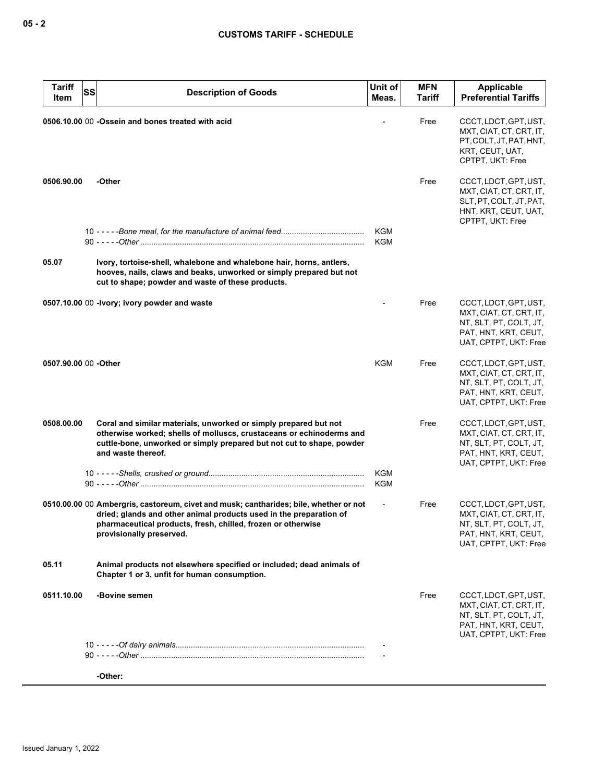| <b>Tariff</b>        | <b>SS</b><br><b>Description of Goods</b>                                                                                                                                                                                                                | Unit of                  | <b>MFN</b>    | Applicable                                                                                                                  |
|----------------------|---------------------------------------------------------------------------------------------------------------------------------------------------------------------------------------------------------------------------------------------------------|--------------------------|---------------|-----------------------------------------------------------------------------------------------------------------------------|
| Item                 |                                                                                                                                                                                                                                                         | Meas.                    | <b>Tariff</b> | <b>Preferential Tariffs</b>                                                                                                 |
|                      | 0506.10.00 00 -Ossein and bones treated with acid                                                                                                                                                                                                       |                          | Free          | CCCT, LDCT, GPT, UST,<br>MXT, CIAT, CT, CRT, IT,<br>PT, COLT, JT, PAT, HNT,<br>KRT, CEUT, UAT,<br>CPTPT, UKT: Free          |
| 0506.90.00           | -Other                                                                                                                                                                                                                                                  |                          | Free          | CCCT, LDCT, GPT, UST,<br>MXT, CIAT, CT, CRT, IT,<br>SLT, PT, COLT, JT, PAT,<br>HNT, KRT, CEUT, UAT,<br>CPTPT, UKT: Free     |
|                      |                                                                                                                                                                                                                                                         | KGM<br><b>KGM</b>        |               |                                                                                                                             |
| 05.07                | Ivory, tortoise-shell, whalebone and whalebone hair, horns, antlers,<br>hooves, nails, claws and beaks, unworked or simply prepared but not<br>cut to shape; powder and waste of these products.                                                        |                          |               |                                                                                                                             |
|                      | 0507.10.00 00 -lvory; ivory powder and waste                                                                                                                                                                                                            |                          | Free          | CCCT, LDCT, GPT, UST,<br>MXT, CIAT, CT, CRT, IT,<br>NT, SLT, PT, COLT, JT,<br>PAT, HNT, KRT, CEUT,<br>UAT, CPTPT, UKT: Free |
| 0507.90.00 00 -Other |                                                                                                                                                                                                                                                         | KGM                      | Free          | CCCT, LDCT, GPT, UST,<br>MXT, CIAT, CT, CRT, IT,<br>NT, SLT, PT, COLT, JT,<br>PAT, HNT, KRT, CEUT,<br>UAT, CPTPT, UKT: Free |
| 0508.00.00           | Coral and similar materials, unworked or simply prepared but not<br>otherwise worked; shells of molluscs, crustaceans or echinoderms and<br>cuttle-bone, unworked or simply prepared but not cut to shape, powder<br>and waste thereof.                 |                          | Free          | CCCT, LDCT, GPT, UST,<br>MXT, CIAT, CT, CRT, IT,<br>NT, SLT, PT, COLT, JT,<br>PAT, HNT, KRT, CEUT,<br>UAT, CPTPT, UKT: Free |
|                      |                                                                                                                                                                                                                                                         | KGM<br><b>KGM</b>        |               |                                                                                                                             |
|                      | 0510.00.00 00 Ambergris, castoreum, civet and musk; cantharides; bile, whether or not<br>dried; glands and other animal products used in the preparation of<br>pharmaceutical products, fresh, chilled, frozen or otherwise<br>provisionally preserved. | $\overline{\phantom{a}}$ | Free          | CCCT, LDCT, GPT, UST,<br>MXT, CIAT, CT, CRT, IT,<br>NT, SLT, PT, COLT, JT,<br>PAT, HNT, KRT, CEUT,<br>UAT, CPTPT, UKT: Free |
| 05.11                | Animal products not elsewhere specified or included; dead animals of<br>Chapter 1 or 3, unfit for human consumption.                                                                                                                                    |                          |               |                                                                                                                             |
| 0511.10.00           | -Bovine semen                                                                                                                                                                                                                                           |                          | Free          | CCCT, LDCT, GPT, UST,<br>MXT, CIAT, CT, CRT, IT,<br>NT, SLT, PT, COLT, JT,<br>PAT, HNT, KRT, CEUT,<br>UAT, CPTPT, UKT: Free |
|                      |                                                                                                                                                                                                                                                         |                          |               |                                                                                                                             |
|                      | -Other:                                                                                                                                                                                                                                                 |                          |               |                                                                                                                             |